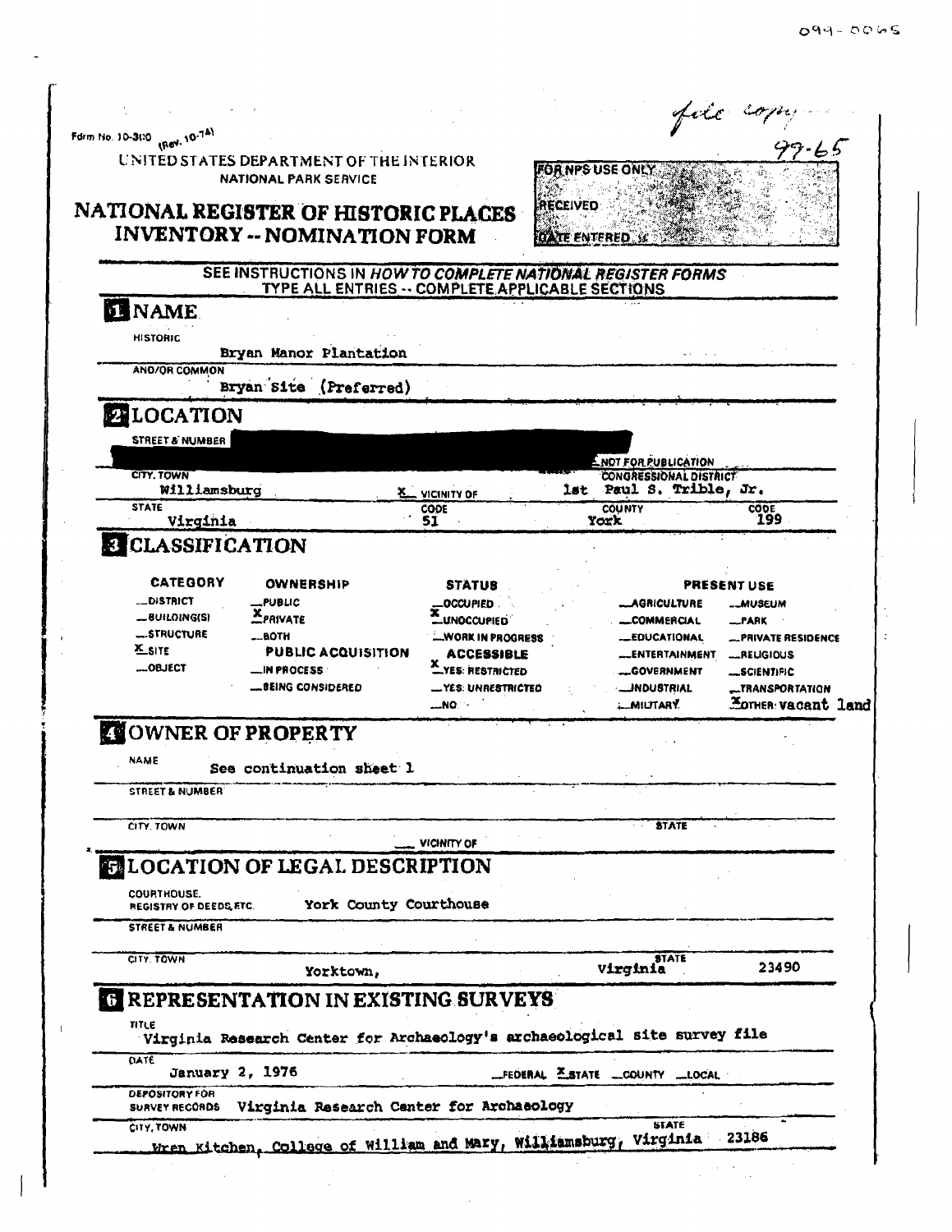$\sim$  $\hat{\mathcal{A}}$ 

|                                              |                                                                             |                             |                 |                                                          | fore cop                    |
|----------------------------------------------|-----------------------------------------------------------------------------|-----------------------------|-----------------|----------------------------------------------------------|-----------------------------|
| Form No. 10-300 (Rev. 10-74)                 |                                                                             |                             |                 |                                                          |                             |
|                                              | UNITED STATES DEPARTMENT OF THE INTERIOR<br><b>NATIONAL PARK SERVICE</b>    |                             |                 | <b>FOR NPS USE ONLY</b>                                  |                             |
|                                              | NATIONAL REGISTER OF HISTORIC PLACES<br><b>INVENTORY -- NOMINATION FORM</b> |                             | <b>RECEIVED</b> | <b>FOATE ENTERED</b>                                     |                             |
|                                              | SEE INSTRUCTIONS IN HOW TO COMPLETE NATIONAL REGISTER FORMS                 |                             |                 |                                                          |                             |
|                                              | TYPE ALL ENTRIES -- COMPLETE APPLICABLE SECTIONS                            |                             |                 |                                                          |                             |
| <b>EL NAME</b><br><b>HISTORIC</b>            |                                                                             |                             |                 |                                                          |                             |
|                                              | Bryan Manor Plantation                                                      |                             |                 |                                                          |                             |
| <b>AND/OR COMMON</b>                         | Bryan Site (Preferred)                                                      |                             |                 |                                                          |                             |
| <b>ENLOCATION</b>                            |                                                                             |                             |                 |                                                          |                             |
| STREET & NUMBER                              |                                                                             |                             |                 |                                                          |                             |
|                                              |                                                                             |                             |                 | <b>ENOT FOR PUBLICATION</b>                              |                             |
| CITY, TOWN<br>Williamsburg                   |                                                                             | <b>X</b> VICINITY OF        |                 | <b>CONGRESSIONAL DISTRICT</b><br>lst Paul S. Trible, Jr. |                             |
| <b>STATE</b>                                 |                                                                             | CODE                        |                 | <b>COUNTY</b>                                            | соре<br>199                 |
| Virginia                                     |                                                                             | 51                          |                 | York                                                     |                             |
| <b>8 CLASSIFICATION</b>                      |                                                                             |                             |                 |                                                          |                             |
| <b>CATEGORY</b>                              | OWNERSHIP                                                                   | <b>STATUS</b>               |                 |                                                          | PRESENT USE                 |
| <b>_DISTRICT</b>                             | <b>_PUBLIC</b>                                                              | OCCUPIED.                   |                 | <b>_AGRICULTURE</b>                                      | ._MUSEUM                    |
| <b>_BUILDING(S)</b>                          | <b>XPRIVATE</b>                                                             | <b>LUNOCCUPIED</b>          |                 | <b>__COMMERCIAL</b>                                      | _PARK                       |
| <b>_STRUCTURE</b>                            | BOTH                                                                        | -WORK IN PROGRESS           |                 | <b>_EDUCATIONAL</b>                                      | <b>__PRIVATE RESIDENCE</b>  |
| <b>X</b> SITE                                | <b>PUBLIC ACQUISITION</b>                                                   | ACCESSIBLE                  |                 | <b>ENTERTAINMENT</b>                                     | _RELIGIOUS                  |
| <b>__OBJECT</b>                              | _IN PROCESS                                                                 | YES: RESTRICTED             |                 | <b>_GOVERNMENT</b>                                       | <b>__SCIENTIFIC</b>         |
|                                              | <b>.BEING CONSIDERED</b>                                                    |                             |                 | <b>__JNDUSTRIAL</b>                                      |                             |
|                                              |                                                                             | — YES: UNRE <b>STRICTEO</b> |                 |                                                          | __TRANSPORTATION            |
|                                              |                                                                             | …NO∵-                       |                 | <b>MILITARY</b>                                          | <b>Hormen</b> : vacant land |
| <b>COWNER OF PROPERTY</b>                    |                                                                             |                             |                 |                                                          |                             |
| NAME                                         | See continuation sheet l                                                    |                             |                 |                                                          |                             |
| <b>STREET &amp; NUMBER</b>                   |                                                                             |                             |                 |                                                          |                             |
| CITY. TOWN                                   |                                                                             |                             |                 | <b>STATE</b>                                             |                             |
|                                              |                                                                             | VICINITY OF                 |                 |                                                          |                             |
|                                              | <b>ELOCATION OF LEGAL DESCRIPTION</b>                                       |                             |                 |                                                          |                             |
| COURTHOUSE.<br><b>REGISTRY OF DEEDS FTC.</b> | York County Courthouse                                                      |                             |                 |                                                          |                             |
| <b>STREET &amp; NUMBER</b>                   |                                                                             |                             |                 |                                                          |                             |
| CITY. TOWN                                   |                                                                             |                             |                 | <b>Virginia</b>                                          |                             |
|                                              | Yorktown,                                                                   |                             |                 |                                                          | 23490                       |
|                                              | <b>REPRESENTATION IN EXISTING SURVEYS</b>                                   |                             |                 |                                                          |                             |
|                                              |                                                                             |                             |                 |                                                          |                             |
| TITLE                                        | Virginia Research Center for Archaeology's archaeological site survey file  |                             |                 |                                                          |                             |
| DATE                                         |                                                                             |                             |                 |                                                          |                             |
| January 2, 1976<br><b>DEPOSITORY FOR</b>     |                                                                             |                             |                 | _FEDERAL ESTATE _COUNTY __ LOCAL                         |                             |
| <b>SURVEY RECORDS</b><br>CITY, TOWN          | Virginia Research Center for Archaeology                                    |                             |                 | STATE                                                    | 23186                       |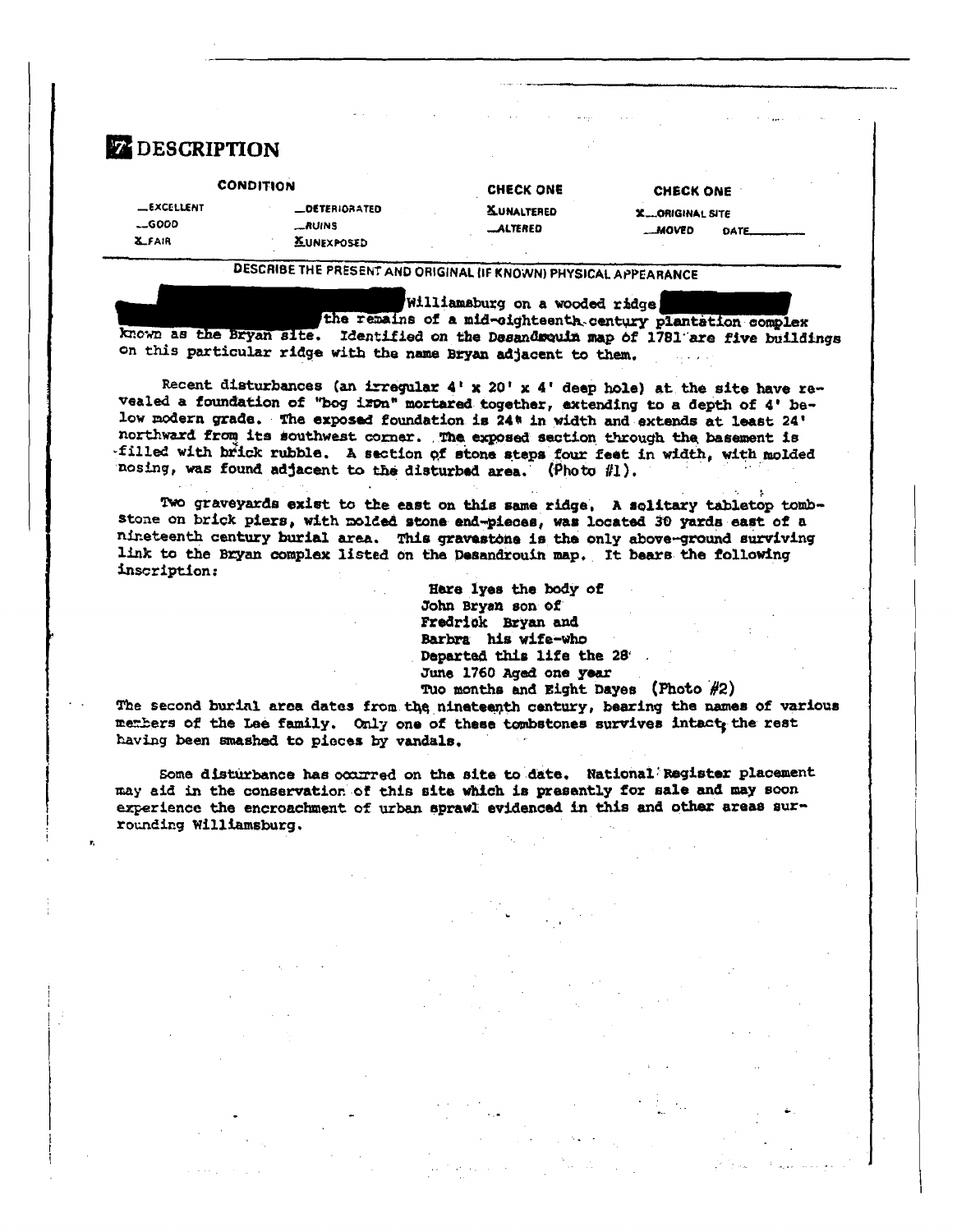| <b>CONDITION</b>  |                      | <b>CHECK ONE</b>  | CHECK ONE              |      |
|-------------------|----------------------|-------------------|------------------------|------|
| <b>_EXCELLENT</b> | <b>LOETERIORATED</b> | <b>XUNALTERED</b> | <b>X_ORIGINAL SITE</b> |      |
| $-6000$           | <b>_RUINS</b>        | <b>LALTERED</b>   | <b>MOVED</b>           | DATE |
| <b>X_FAIR</b>     | <b>XUNEXPOSED</b>    |                   |                        |      |

DESCRIBE THE PRESENT AND ORIGINAL (IF KNOWN) PHYSICAL APPEARANCE

Williamsburg on a wooded ridge

the remains of a mid-cighteenth century plantation complex known as the Bryan site. Identified on the Desandwauin map of 1781 are five buildings on this particular ridge with the name Bryan adjacent to them.

Recent disturbances (an irregular 4' x 20' x 4' deep hole) at the site have revealed a foundation of "bog iron" mortared together, extending to a depth of 4' below modern grade. The exposed foundation is 24<sup>#</sup> in width and extends at least 24' northward from its southwest corner. The exposed section through the basement is filled with brick rubble. A section of stone steps four feet in width, with molded nosing, was found adjacent to the disturbed area. (Photo #1).

Two graveyards exist to the east on this same ridge, A solitary tabletop tombstone on brick piers, with molded stone end-pieces, was located 30 yards east of a nineteenth century burial area. This gravestone is the only above-ground surviving link to the Bryan complex listed on the Desandrouin map. It bears the following inscription:

> Hare lyes the body of John Bryan son of Fredrick Bryan and Barbra his wife-who Departed this life the 28 June 1760 Aged one year Tuo months and Eight Dayes (Photo  $#2$ )

The second burial area dates from the nineteenth century, bearing the names of various members of the Lae family. Only one of these tombstones survives intact, the rest having been smashed to pieces by vandals.

Some disturbance has occurred on the site to date. National Register placement may aid in the conservation of this site which is presently for sale and may soon experience the encroachment of urban sprawl evidenced in this and other areas surrounding Williamsburg.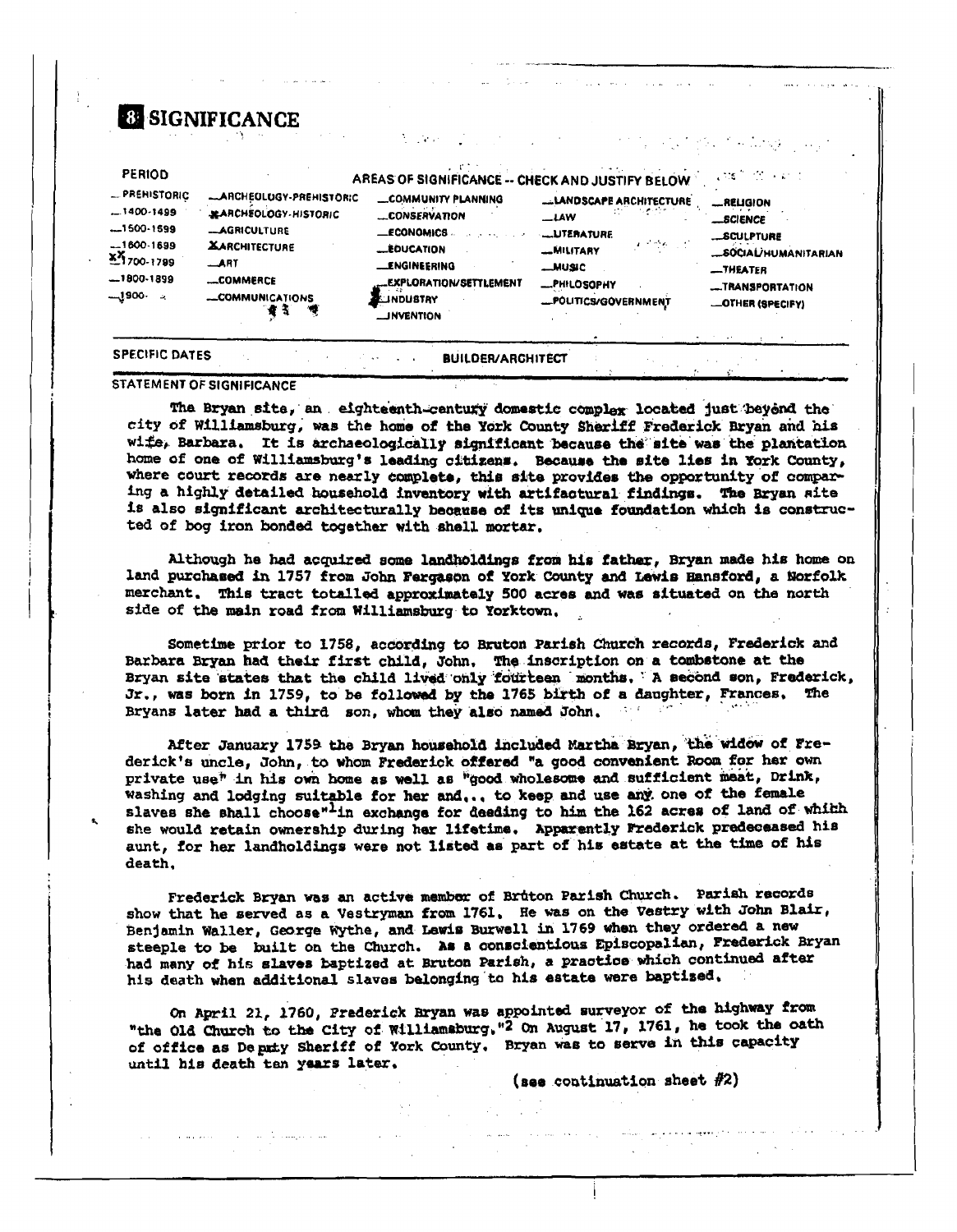| <b>PERIOD</b>                                                                                                  |                                                                                                                                            | AREAS OF SIGNIFICANCE -- CHECK AND JUSTIFY BELOW                                                                                                                                |                                                                                                                                                                      | inter and a state                                                                                                             |
|----------------------------------------------------------------------------------------------------------------|--------------------------------------------------------------------------------------------------------------------------------------------|---------------------------------------------------------------------------------------------------------------------------------------------------------------------------------|----------------------------------------------------------------------------------------------------------------------------------------------------------------------|-------------------------------------------------------------------------------------------------------------------------------|
| - PREHISTORIC<br>$-1400 - 1499$<br>$-1500-1599$<br>$-1600 - 1699$<br>x 7700-1799<br>$-1800-1899$<br>⊸ 1900-يــ | -ARCHEULUGY-PREHISTORIC<br>MARCHEOLOGY-HISTORIC<br>-AGRICULTURE<br><b>XARCHITECTURE</b><br>ART<br><b>LOMMERCE</b><br>-COMMUNICATIONS<br>Ч, | COMMUNITY PLANNING<br>CONSERVATION<br><b>LECONOMICS</b><br><b>LEDUCATION</b><br><b>LENGINEERING</b><br><b>_EXPLORATION/SETTLEMENT</b><br><b>ELINDUSTRY</b><br><b>JINVENTION</b> | <b>LLANDSCAPE ARCHITECTURE</b><br>$-LAW$<br><b>LUTERATURE</b><br>$\mathcal{F}^{(2)}$ where $\mathcal{F}$<br>-MILITARY<br>MUSIC<br>-PHILOSOPHY<br>-POUTICS/GOVERNMENT | <b>_RELIGION</b><br>__BCIENCE<br><b>__SCULPTURE</b><br>SOCIAL/HUMANITARIAN<br>-THEATER<br>-TRANSPORTATION<br>-OTHER (SPECIFY) |

STATEMENT OF SIGNIFICANCE

The Bryan site, an eighteenth-century domestic complex located just beyond the city of Williamsburg, was the home of the York County Sheriff Frederick Bryan and his wife, Barbara. It is archaeologically significant because the site was the plantation home of one of Williamsburg's leading citizens. Because the site lies in York County, where court records are nearly complete, this site provides the opportunity of comparing a highly detailed household inventory with artifactural findings. The Bryan site is also significant architecturally because of its unique foundation which is constructed of bog iron bonded together with shell mortar.

Although he had acquired some landholdings from his father, Bryan made his home on land purchased in 1757 from John Fergason of York County and Lewis Hansford, a Norfolk merchant. This tract totalled approximately 500 acres and was situated on the north side of the main road from Williamsburg to Yorktown,

Sometime prior to 1758, according to Bruton Parish Church records, Frederick and Barbara Bryan had their first child, John, The inscription on a tombstone at the Bryan site states that the child lived only fourteen months, A second son, Frederick, Jr., was born in 1759, to be followed by the 1765 birth of a daughter, Frances. The Bryans later had a third son, whom they also named John.

After January 1759 the Bryan household included Martha Bryan, the widow of Frederick's uncle, John, to whom Frederick offered "a good convenient Room for her own private use" in his own home as well as "good wholesome and sufficient meat, Drink, washing and lodging suitable for her and,., to keep and use any one of the female slaves she shall choose"<sup>1</sup>in exchange for deeding to him the 162 acres of land of whith she would retain ownership during her lifetime. Apparently Frederick predeceased his aunt, for her landholdings were not listed as part of his estate at the time of his death.

Frederick Bryan was an active member of Bruton Parish Church. Parish records show that he served as a Vestryman from 1761. He was on the Vestry with John Blair, Benjamin Waller, George Wythe, and Lawis Burwell in 1769 when they ordered a new steeple to be built on the Church. As a conscientious Episcopalian, Frederick Bryan had many of his slaves baptized at Bruton Parish, a practice which continued after his death when additional slaves belonging to his estate were baptised.

On April 21, 1760, Prederick Bryan was appointed surveyor of the highway from "the Old Church to the City of Williamsburg, "2 On August 17, 1761, he took the oath of office as Deputy Sheriff of York County. Bryan was to serve in this capacity until his death ten years later,

(see continuation sheet  $#2$ )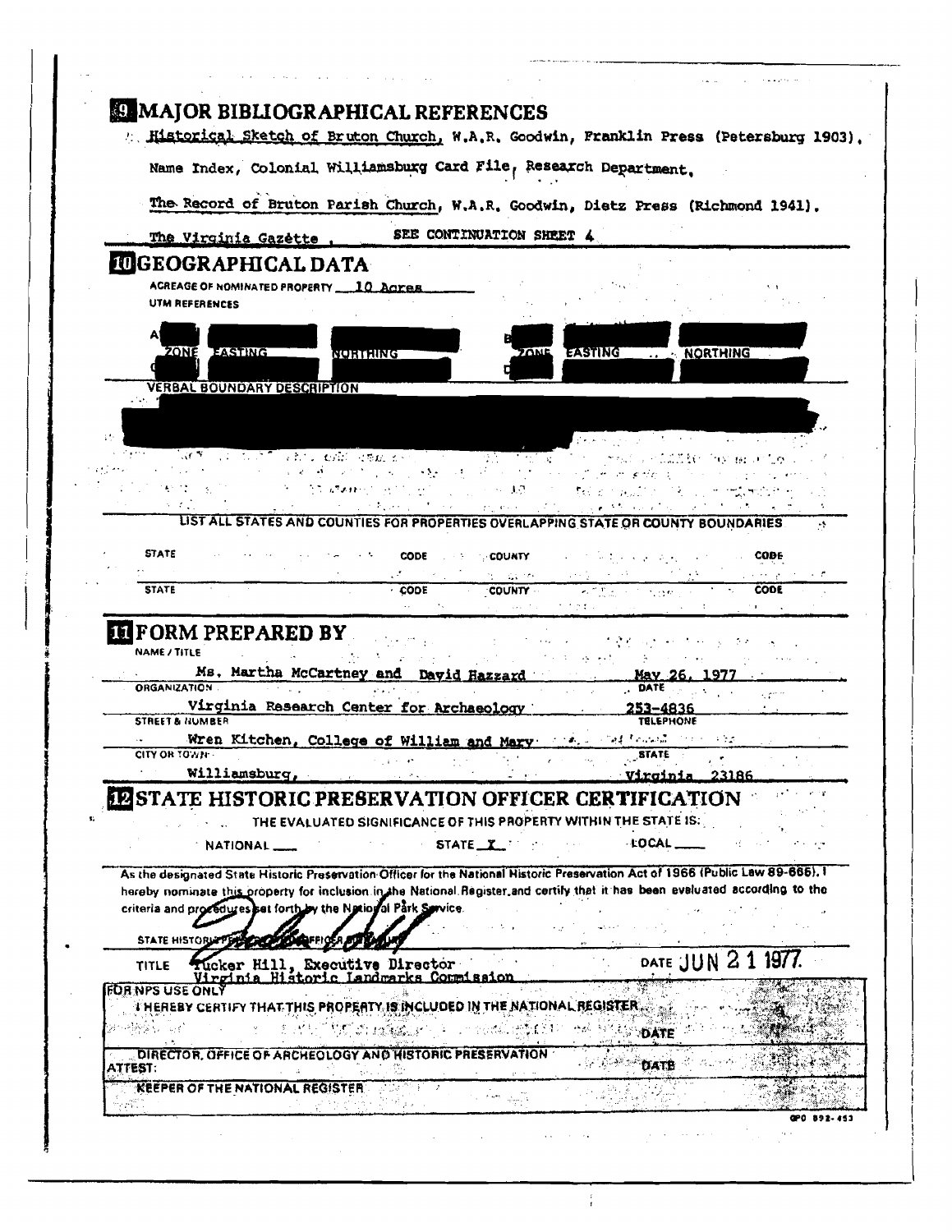|                                                                 |                                                                                                              | " Historical Sketch of Bruton Church, W.A.R. Goodwin, Franklin Press (Petersburg 1903),                                                                                                                                                                         |  |
|-----------------------------------------------------------------|--------------------------------------------------------------------------------------------------------------|-----------------------------------------------------------------------------------------------------------------------------------------------------------------------------------------------------------------------------------------------------------------|--|
|                                                                 | Name Index, Colonial Williamsburg Card File, Research Department.                                            |                                                                                                                                                                                                                                                                 |  |
|                                                                 |                                                                                                              | The Record of Bruton Parish Church, W.A.R. Goodwin, Dietz Press (Richmond 1941).                                                                                                                                                                                |  |
| The Virginia Gazette                                            | SEE CONTINUATION SHEET 4                                                                                     |                                                                                                                                                                                                                                                                 |  |
| <b>IUGEOGRAPHICAL DATA</b>                                      |                                                                                                              |                                                                                                                                                                                                                                                                 |  |
| ACREAGE OF NOMINATED PROPERTY 10 ACTES<br>UTM REFERENCES        |                                                                                                              |                                                                                                                                                                                                                                                                 |  |
| ZONE EASTING                                                    | NORTHING                                                                                                     | <b>EASTING</b><br>NORTHING<br><b>70ME</b>                                                                                                                                                                                                                       |  |
|                                                                 |                                                                                                              |                                                                                                                                                                                                                                                                 |  |
| <b>VERBAL BOUNDARY DESCRIPTION</b>                              |                                                                                                              |                                                                                                                                                                                                                                                                 |  |
|                                                                 |                                                                                                              |                                                                                                                                                                                                                                                                 |  |
| ar M                                                            | ul tuli skri end dan k∽l                                                                                     | $\mathbf{r}$ , and $\mathbf{r}$ , and $\mathbf{r}$<br>the first state of the control of the                                                                                                                                                                     |  |
| الأفارين                                                        | $M_{\rm H}$ , and $\sim 100$ km s $^{-1}$<br><b>Controlled State State State</b>                             | 1998年11月 <b>17</b> 日<br>്നാനും സ്ര<br>C and<br>House Rights and                                                                                                                                                                                                 |  |
|                                                                 | $\mathcal{F}(\mathcal{F}) = \mathcal{F}_\mathcal{F}(\mathcal{F},\mathcal{F},\mathcal{F})$ . Then<br>医心包 电子电子 | <b>Telephone State</b>                                                                                                                                                                                                                                          |  |
|                                                                 | provening a                                                                                                  | UST ALL STATES AND COUNTIES FOR PROPERTIES OVERLAPPING STATE OR COUNTY BOUNDARIES.                                                                                                                                                                              |  |
|                                                                 |                                                                                                              |                                                                                                                                                                                                                                                                 |  |
| <b>STATE</b>                                                    | <b>CODE</b><br><b>COUNTY</b>                                                                                 | <b>CODE</b>                                                                                                                                                                                                                                                     |  |
|                                                                 | 近い 最新の                                                                                                       |                                                                                                                                                                                                                                                                 |  |
|                                                                 |                                                                                                              |                                                                                                                                                                                                                                                                 |  |
| <b>STATE</b><br><b>EFORM PREPARED BY</b><br><b>NAME / TITLE</b> | CODE<br><b>COUNTY</b>                                                                                        | <b>CODE</b><br><b>ALTIMORE CONSUMPTION</b>                                                                                                                                                                                                                      |  |
| <b>ORGANIZATION</b>                                             | Ms. Martha McCartney and David Hazzard                                                                       | May 26.<br>DATE<br>kan n                                                                                                                                                                                                                                        |  |
| <b>STREET &amp; NUMBER</b>                                      | Virginia Research Center for Archaeology                                                                     | 253-4836<br><b>TELEPHONE</b>                                                                                                                                                                                                                                    |  |
|                                                                 | Wren Kitchen, College of William and Mary and Marie College and Marie College                                |                                                                                                                                                                                                                                                                 |  |
| CITY OR TOWN                                                    | <b>Contractor</b><br><b>Contractor</b><br>tria anno                                                          | <b>STATE</b>                                                                                                                                                                                                                                                    |  |
| Williamsburg,                                                   |                                                                                                              | 23186<br><u>Virginia – </u>                                                                                                                                                                                                                                     |  |
|                                                                 | <b>ELISTATE HISTORIC PRESERVATION OFFICER CERTIFICATION</b>                                                  |                                                                                                                                                                                                                                                                 |  |
|                                                                 | THE EVALUATED SIGNIFICANCE OF THIS PROPERTY WITHIN THE STATE IS:                                             |                                                                                                                                                                                                                                                                 |  |
| NATIONAL <sub>_</sub>                                           | STATE T                                                                                                      | $+$ DCAL $-$<br>$\sim 10^{10}$ km                                                                                                                                                                                                                               |  |
| criteria and procedures at forth by the National Park Service.  |                                                                                                              | As the designated State Historic Preservation Officer for the National Historic Preservation Act of 1966 (Public Law 89-665). I<br>hereby nominate this property for inclusion in the National Register and certify that it has been evaluated according to the |  |
| <b>STATE HISTORIA</b>                                           |                                                                                                              |                                                                                                                                                                                                                                                                 |  |
|                                                                 |                                                                                                              |                                                                                                                                                                                                                                                                 |  |
| <b>TITLE</b>                                                    | Tucker Hill, Executive Director<br>Virginia Historic Landmarks Commission                                    | DATE JUN                                                                                                                                                                                                                                                        |  |
| FOR NPS USE ONLY                                                |                                                                                                              |                                                                                                                                                                                                                                                                 |  |
| zerekse va                                                      | <b>I HEREBY CERTIFY THAT THIS PROPERTY IS INCLUDED IN THE NATIONAL REGISTER <math>_{\odot}</math> .</b>      | DATE                                                                                                                                                                                                                                                            |  |
| <b>ATTEST:</b>                                                  | DIRECTOR, OFFICE OF ARCHEOLOGY AND HISTORIC PRESERVATION                                                     | DATE                                                                                                                                                                                                                                                            |  |
| <b>KEEPER OF THE NATIONAL REGISTER</b>                          |                                                                                                              |                                                                                                                                                                                                                                                                 |  |

 $\frac{1}{4}$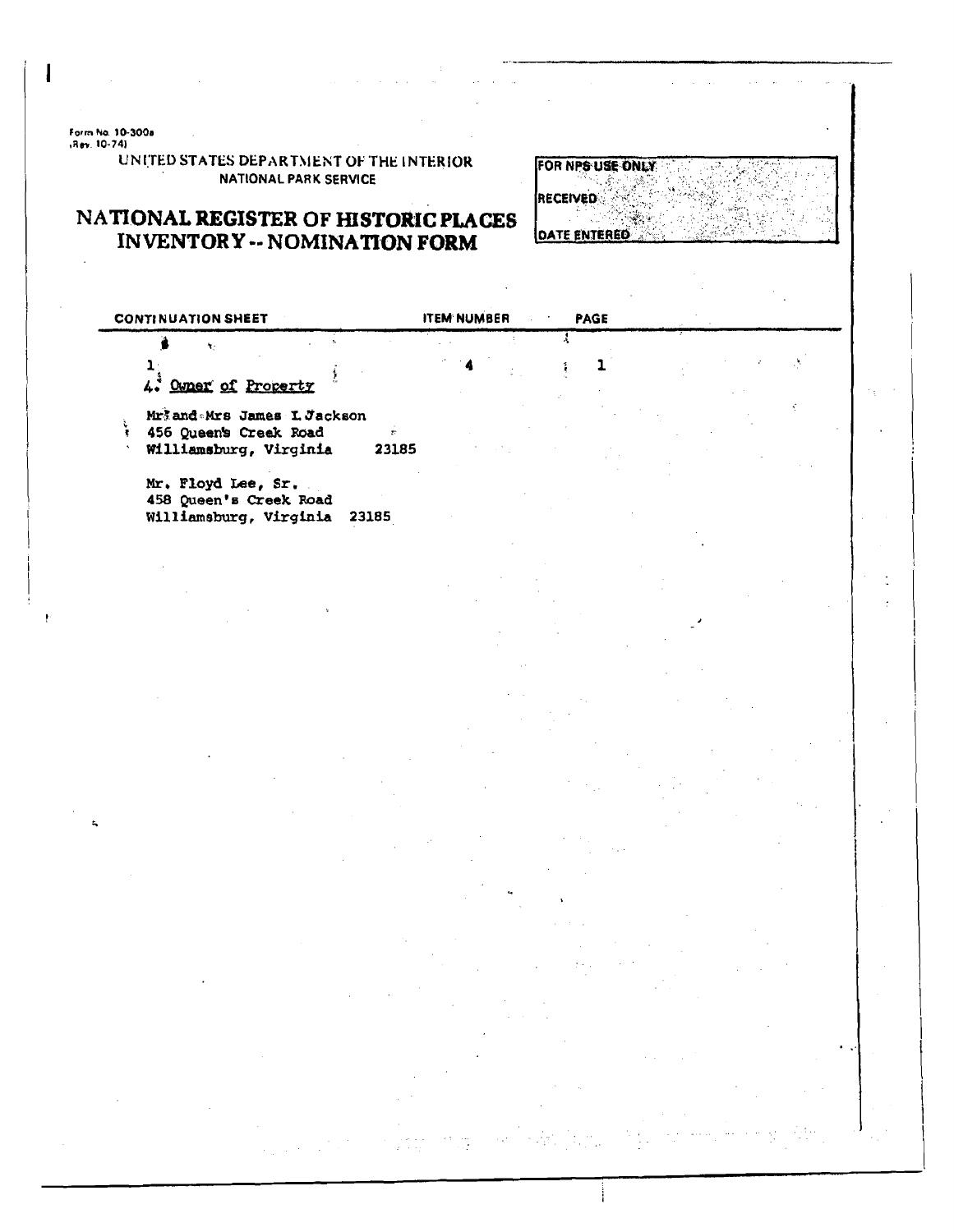Form No. 10-300a<br>,Rev. 10-74)

UNITED STATES DEPARTMENT OF THE INTERIOR **NATIONAL PARK SERVICE** 

## NATIONAL REGISTER OF HISTORIC PLACES **INVENTORY -- NOMINATION FORM**

FOR NPS USE ONLY RECEIVED **OATE ENTERED** 

| <b>CONTINUATION SHEET</b>                                                       |                         | <b>ITEM NUMBER</b> |  | <b>PAGE</b> |  |  |
|---------------------------------------------------------------------------------|-------------------------|--------------------|--|-------------|--|--|
| ų.                                                                              |                         |                    |  |             |  |  |
| 4. Owner of Property                                                            |                         |                    |  |             |  |  |
| Mriand Mrs James I. Jackson<br>456 Queen's Creek Road<br>Williamsburg, Virginia | $\overline{r}$<br>23185 |                    |  |             |  |  |
| Mr. Floyd Lee, Sr.<br>458 Queen's Creek Road<br>Williamsburg, Virginia          | 23185                   |                    |  |             |  |  |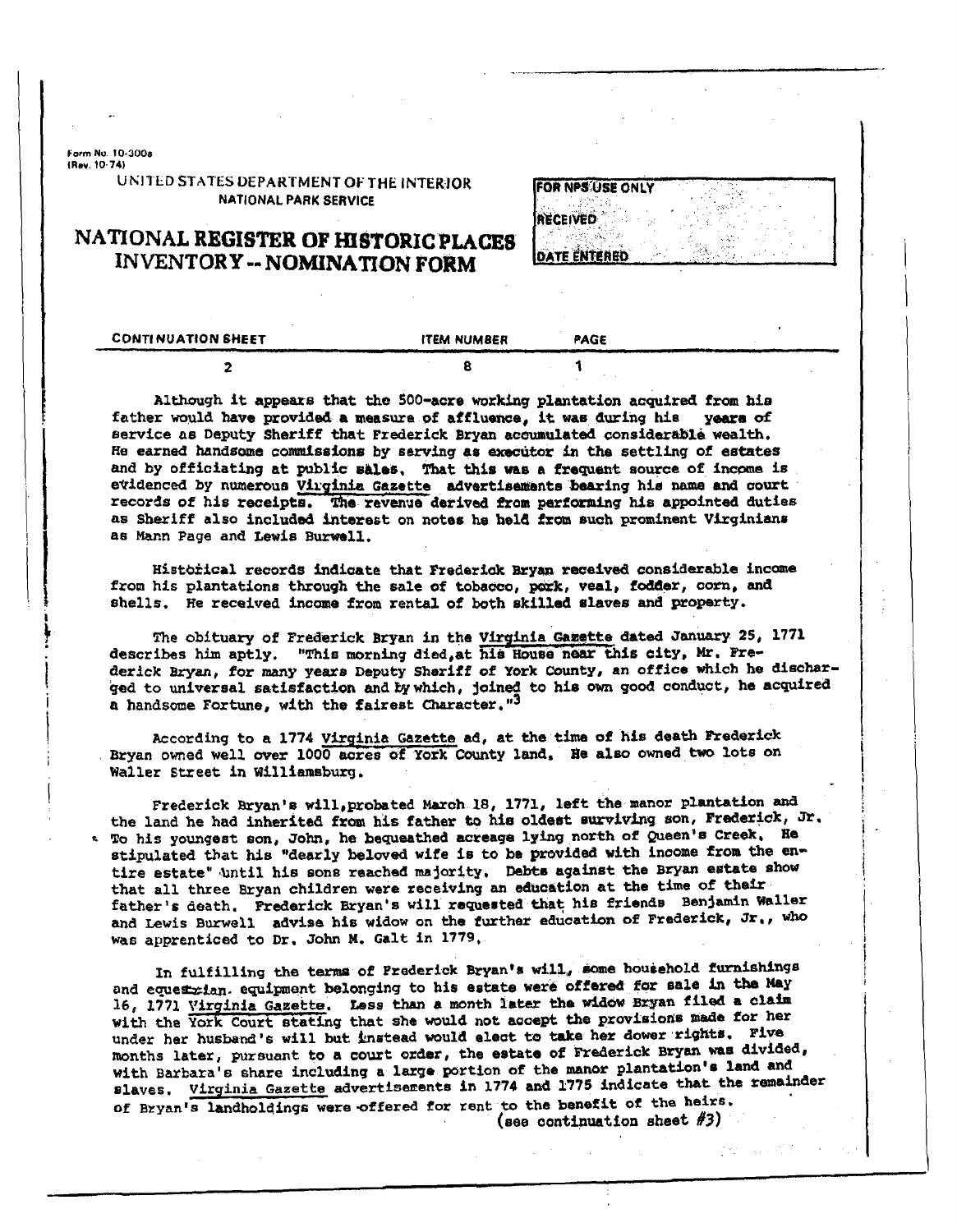Form No. 10-3008 (Rev. 10-74)

#### UNITED STATES DEPARTMENT OF THE INTERIOR **NATIONAL PARK SERVICE**

| <b>IFOR NPS USE ONLY</b> |  |
|--------------------------|--|
| RECEIVED                 |  |
|                          |  |

**DATE ENTERED** 

### NATIONAL REGISTER OF HISTORIC PLACES **INVENTORY--NOMINATION FORM**

| <b>CONTINUATION SHEET</b> | <b>ITEM NUMBER</b> | PAGE |  |
|---------------------------|--------------------|------|--|
|                           |                    |      |  |

Although it appears that the 500-acre working plantation acquired from his father would have provided a measure of affluence, it was during his years of service as Deputy Sheriff that Frederick Bryan accumulated considerable wealth. He earned handsome commissions by serving as executor in the settling of estates and by officiating at public sales, That this was a frequent source of income is evidenced by numerous Virginia Gazette advertisements bearing his name and court records of his receipts. The revenue derived from performing his appointed duties as Sheriff also included interest on notes he held from such prominent Virginians as Mann Page and Lewis Burwell.

Historical records indicate that Frederick Bryan received considerable income from his plantations through the sale of tobacco, pork, veal, fodder, corn, and shells. He received income from rental of both skilled slaves and property.

The obituary of Frederick Bryan in the Virginia Gazette dated January 25, 1771 describes him aptly. "This morning died at his House near this city, Mr. Frederick Bryan, for many years Deputy Sheriff of York County, an office which he discharged to universal satisfaction and by which, joined to his own good conduct, he acquired a handsome Fortune, with the fairest Character."3

According to a 1774 Virginia Gazette ad, at the time of his death Frederick Bryan owned well over 1000 acres of York County land, He also owned two lots on Waller Street in Williamsburg.

Frederick Bryan's will, probated March 18, 1771, left the manor plantation and the land he had inherited from his father to his oldest surviving son, Frederick, Jr. \* To his youngest son, John, he bequeathed acreage lying north of Queen's Creek. He stipulated that his "dearly beloved wife is to be provided with income from the entire estate" until his sons reached majority. Debts against the Bryan estate show that all three Bryan children were receiving an education at the time of their father's death. Prederick Bryan's will requested that his friends Benjamin Waller and Lewis Burwell advise his widow on the further education of Frederick, Jr., who was apprenticed to Dr. John M. Galt in 1779.

In fulfilling the terms of Prederick Bryan's will, some household furnishings and equestrian. equipment belonging to his estate were offered for sale in the May 16, 1771 Virginia Gazette. Less than a month later the widow Bryan filed a claim with the York Court stating that she would not accept the provisions made for her under her husband's will but instead would elect to take her dower rights. Five months later, pursuant to a court order, the estate of Frederick Bryan was divided, with Barbara's share including a large portion of the manor plantation's land and slaves. Virginia Gazette advertisements in 1774 and 1775 indicate that the remainder of Bryan's landholdings were offered for rent to the benefit of the heirs. (see continuation sheet  $#3)$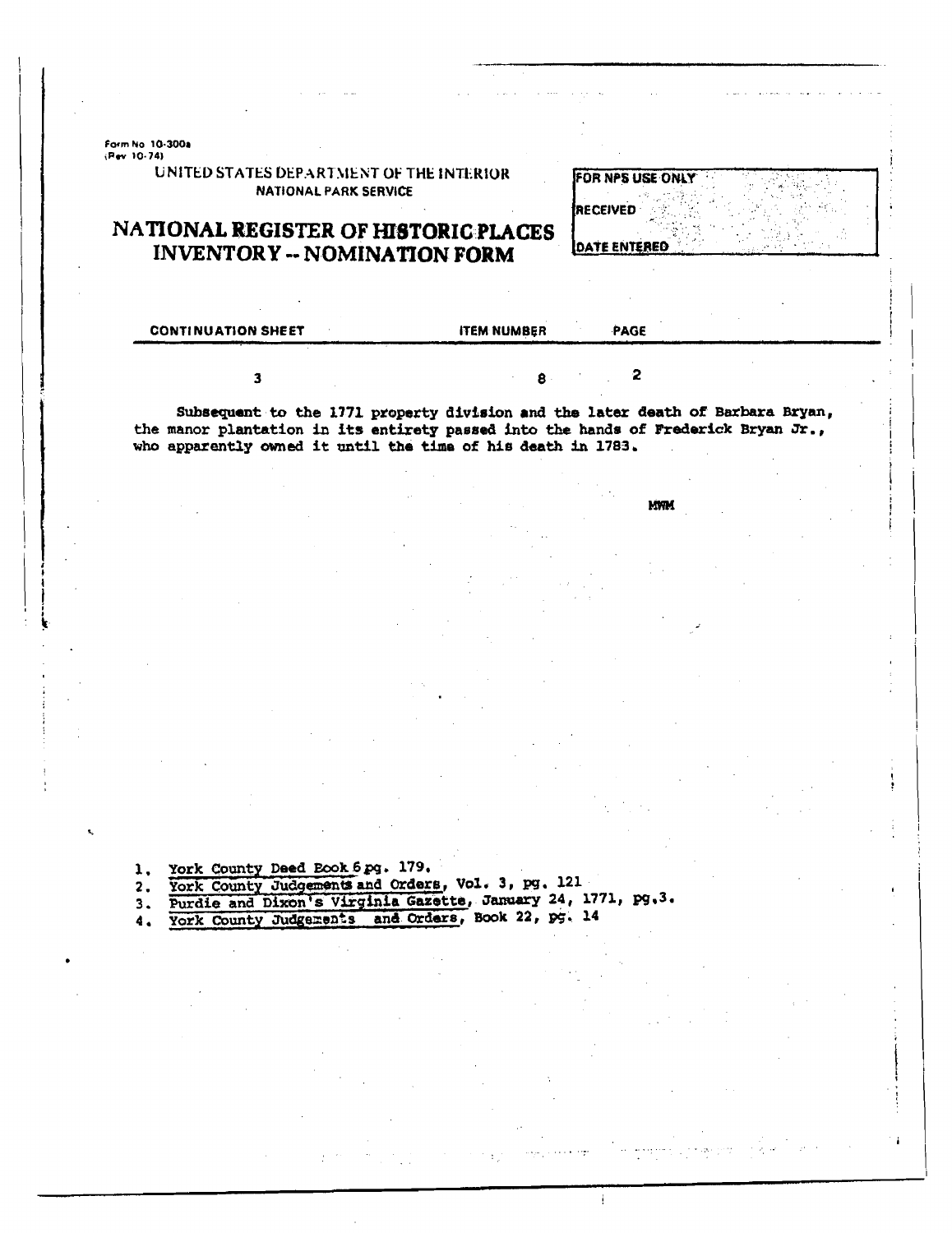Form No. 10-300a<br>(Rev. 10-74)

UNITED STATES DEPARTMENT OF THE INTERIOR **NATIONAL PARK SERVICE** 

#### NATIONAL REGISTER OF HISTORIC PLACES **INVENTORY -- NOMINATION FORM**

**FOR NPS USE ONLY** RECEIVED

**DATE ENTERED** 

| <b>CONTINUATION SHEET</b>                                                                                                                                          | <b>ITEM NUMBER</b>            | <b>PAGE</b> |  |
|--------------------------------------------------------------------------------------------------------------------------------------------------------------------|-------------------------------|-------------|--|
|                                                                                                                                                                    | $\mathbf{R}$ and $\mathbf{R}$ |             |  |
| Subsequent to the 1771 property division and the later death of Barbara Bryan,<br>the manor plantation in its entirety passed into the hands of Frederick Bryan Jr |                               |             |  |

who apparently owned it until the time of his death in 1783.

**MWM** 

York County Deed Book 6 pg. 179.  $\mathbf{1}$ 

York County Judgements and Orders, Vol. 3, pg. 121  $2.$ Purdie and Dixon's Virginia Gazette, January 24, 1771, pg.3.

 $3.$ York County Judgements and Orders, Book 22, pg. 14

 $4.$